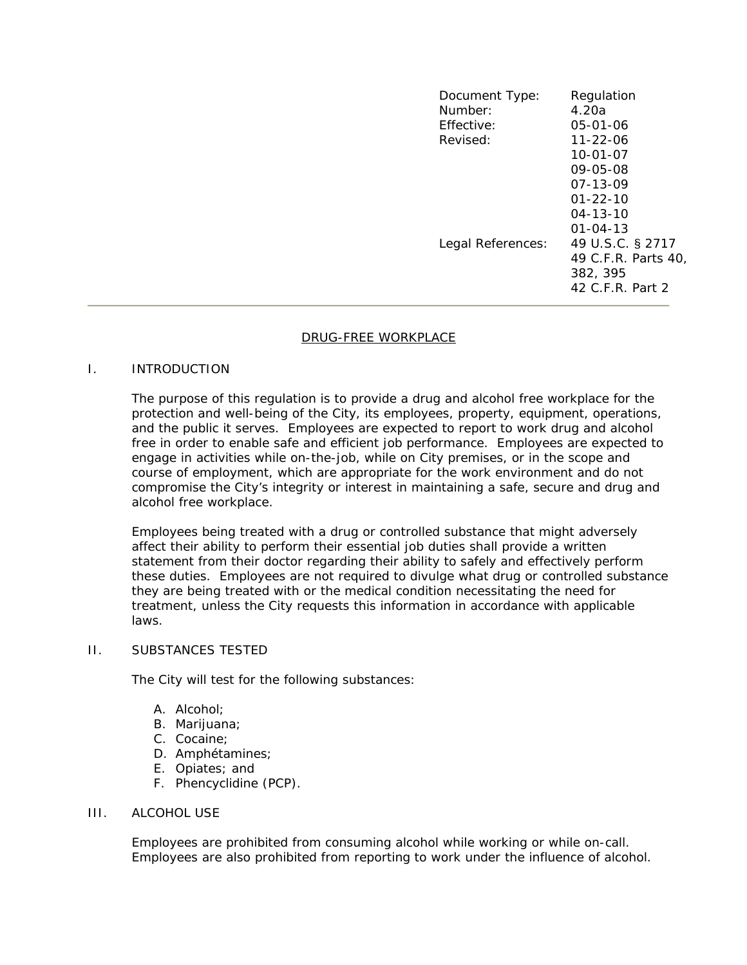| Document Type:<br>Number:<br>Effective:<br>Revised: | Regulation<br>4.20a<br>05-01-06<br>$11 - 22 - 06$                                            |
|-----------------------------------------------------|----------------------------------------------------------------------------------------------|
|                                                     | $10 - 01 - 07$<br>09-05-08<br>07-13-09<br>$01 - 22 - 10$<br>$04 - 13 - 10$<br>$01 - 04 - 13$ |
| Legal References:                                   | 49 U.S.C. § 2717<br>49 C.F.R. Parts 40,<br>382, 395<br>42 C.F.R. Part 2                      |

### DRUG-FREE WORKPLACE

### I. INTRODUCTION

The purpose of this regulation is to provide a drug and alcohol free workplace for the protection and well-being of the City, its employees, property, equipment, operations, and the public it serves. Employees are expected to report to work drug and alcohol free in order to enable safe and efficient job performance. Employees are expected to engage in activities while on-the-job, while on City premises, or in the scope and course of employment, which are appropriate for the work environment and do not compromise the City's integrity or interest in maintaining a safe, secure and drug and alcohol free workplace.

Employees being treated with a drug or controlled substance that might adversely affect their ability to perform their essential job duties shall provide a written statement from their doctor regarding their ability to safely and effectively perform these duties. Employees are not required to divulge what drug or controlled substance they are being treated with or the medical condition necessitating the need for treatment, unless the City requests this information in accordance with applicable laws.

## II. SUBSTANCES TESTED

The City will test for the following substances:

- A. Alcohol;
- B. Marijuana;
- C. Cocaine;
- D. Amphétamines;
- E. Opiates; and
- F. Phencyclidine (PCP).

### III. ALCOHOL USE

Employees are prohibited from consuming alcohol while working or while on-call. Employees are also prohibited from reporting to work under the influence of alcohol.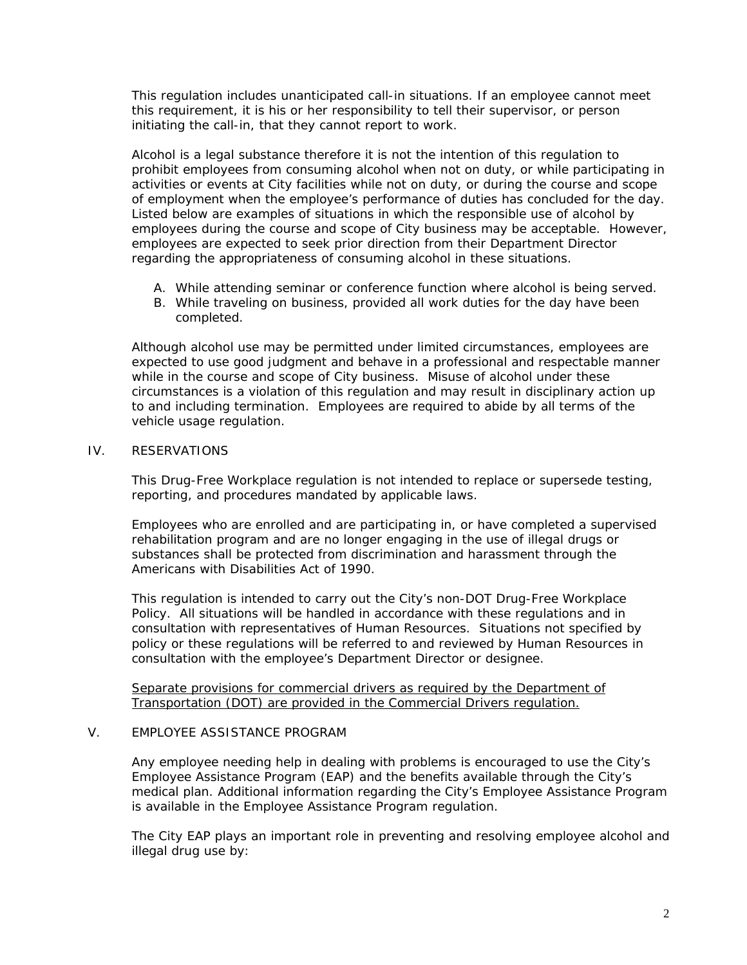This regulation includes unanticipated call-in situations. If an employee cannot meet this requirement, it is his or her responsibility to tell their supervisor, or person initiating the call-in, that they cannot report to work.

Alcohol is a legal substance therefore it is not the intention of this regulation to prohibit employees from consuming alcohol when not on duty, or while participating in activities or events at City facilities while not on duty, or during the course and scope of employment when the employee's performance of duties has concluded for the day. Listed below are examples of situations in which the responsible use of alcohol by employees during the course and scope of City business may be acceptable. However, employees are expected to seek prior direction from their Department Director regarding the appropriateness of consuming alcohol in these situations.

- A. While attending seminar or conference function where alcohol is being served.
- B. While traveling on business, provided all work duties for the day have been completed.

Although alcohol use may be permitted under limited circumstances, employees are expected to use good judgment and behave in a professional and respectable manner while in the course and scope of City business. Misuse of alcohol under these circumstances is a violation of this regulation and may result in disciplinary action up to and including termination. Employees are required to abide by all terms of the vehicle usage regulation.

### IV. RESERVATIONS

This Drug-Free Workplace regulation is not intended to replace or supersede testing, reporting, and procedures mandated by applicable laws.

Employees who are enrolled and are participating in, or have completed a supervised rehabilitation program and are no longer engaging in the use of illegal drugs or substances shall be protected from discrimination and harassment through the Americans with Disabilities Act of 1990.

This regulation is intended to carry out the City's non-DOT Drug-Free Workplace Policy. All situations will be handled in accordance with these regulations and in consultation with representatives of Human Resources. Situations not specified by policy or these regulations will be referred to and reviewed by Human Resources in consultation with the employee's Department Director or designee.

Separate provisions for commercial drivers as required by the Department of Transportation (DOT) are provided in the Commercial Drivers regulation.

# V. EMPLOYEE ASSISTANCE PROGRAM

Any employee needing help in dealing with problems is encouraged to use the City's Employee Assistance Program (EAP) and the benefits available through the City's medical plan. Additional information regarding the City's Employee Assistance Program is available in the Employee Assistance Program regulation.

The City EAP plays an important role in preventing and resolving employee alcohol and illegal drug use by: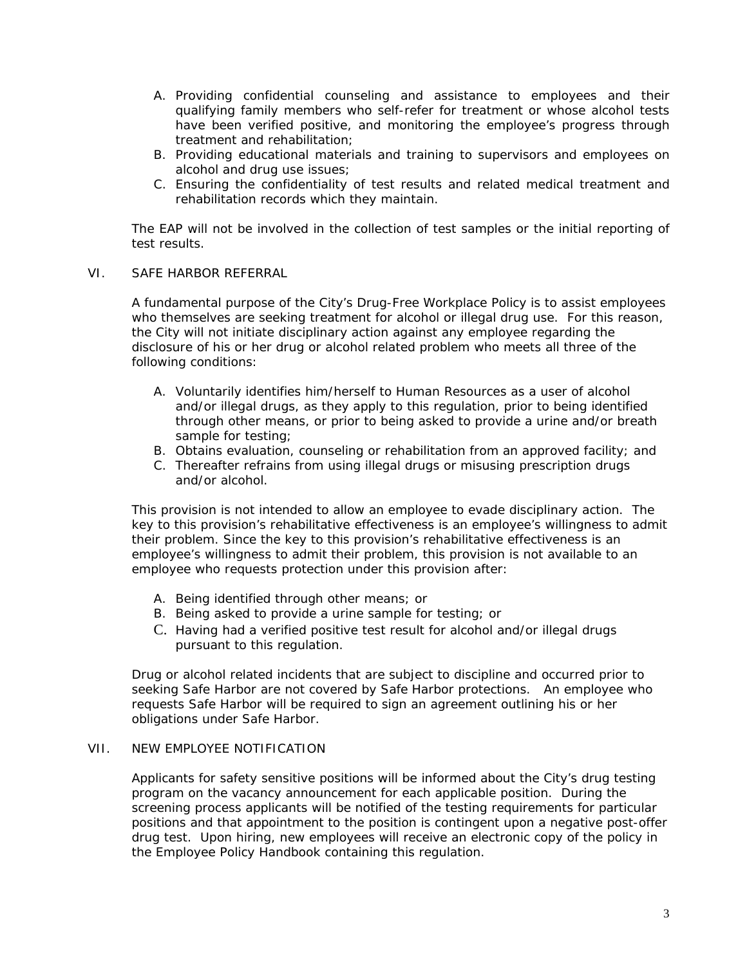- A. Providing confidential counseling and assistance to employees and their qualifying family members who self-refer for treatment or whose alcohol tests have been verified positive, and monitoring the employee's progress through treatment and rehabilitation;
- B. Providing educational materials and training to supervisors and employees on alcohol and drug use issues;
- C. Ensuring the confidentiality of test results and related medical treatment and rehabilitation records which they maintain.

The EAP will not be involved in the collection of test samples or the initial reporting of test results.

### VI. SAFE HARBOR REFERRAL

A fundamental purpose of the City's Drug-Free Workplace Policy is to assist employees who themselves are seeking treatment for alcohol or illegal drug use. For this reason, the City will not initiate disciplinary action against any employee regarding the disclosure of his or her drug or alcohol related problem who meets all three of the following conditions:

- A. Voluntarily identifies him/herself to Human Resources as a user of alcohol and/or illegal drugs, as they apply to this regulation, prior to being identified through other means, or prior to being asked to provide a urine and/or breath sample for testing;
- B. Obtains evaluation, counseling or rehabilitation from an approved facility; and
- C. Thereafter refrains from using illegal drugs or misusing prescription drugs and/or alcohol.

This provision is not intended to allow an employee to evade disciplinary action. The key to this provision's rehabilitative effectiveness is an employee's willingness to admit their problem. Since the key to this provision's rehabilitative effectiveness is an employee's willingness to admit their problem, this provision is not available to an employee who requests protection under this provision after:

- A. Being identified through other means; or
- B. Being asked to provide a urine sample for testing; or
- C. Having had a verified positive test result for alcohol and/or illegal drugs pursuant to this regulation.

Drug or alcohol related incidents that are subject to discipline and occurred prior to seeking Safe Harbor are not covered by Safe Harbor protections. An employee who requests Safe Harbor will be required to sign an agreement outlining his or her obligations under Safe Harbor.

## VII. NEW EMPLOYEE NOTIFICATION

Applicants for safety sensitive positions will be informed about the City's drug testing program on the vacancy announcement for each applicable position. During the screening process applicants will be notified of the testing requirements for particular positions and that appointment to the position is contingent upon a negative post-offer drug test. Upon hiring, new employees will receive an electronic copy of the policy in the Employee Policy Handbook containing this regulation.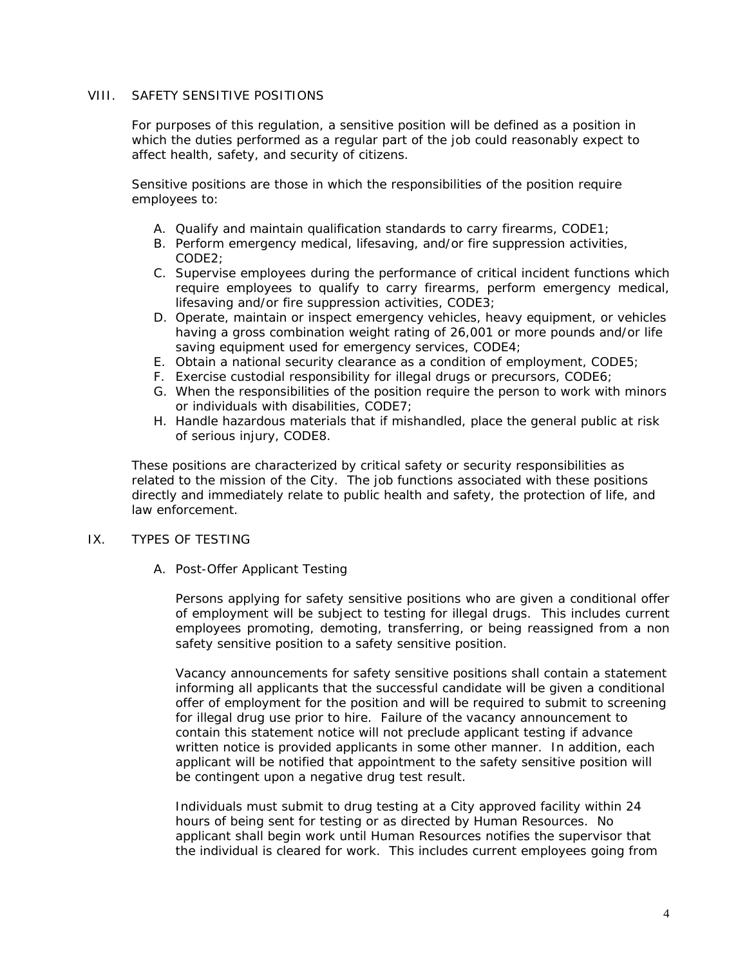# VIII. SAFETY SENSITIVE POSITIONS

For purposes of this regulation, a sensitive position will be defined as a position in which the duties performed as a regular part of the job could reasonably expect to affect health, safety, and security of citizens.

Sensitive positions are those in which the responsibilities of the position require employees to:

- A. Qualify and maintain qualification standards to carry firearms, CODE1;
- B. Perform emergency medical, lifesaving, and/or fire suppression activities, CODE2;
- C. Supervise employees during the performance of critical incident functions which require employees to qualify to carry firearms, perform emergency medical, lifesaving and/or fire suppression activities, CODE3;
- D. Operate, maintain or inspect emergency vehicles, heavy equipment, or vehicles having a gross combination weight rating of 26,001 or more pounds and/or life saving equipment used for emergency services, CODE4;
- E. Obtain a national security clearance as a condition of employment, CODE5;
- F. Exercise custodial responsibility for illegal drugs or precursors, CODE6;
- G. When the responsibilities of the position require the person to work with minors or individuals with disabilities, CODE7;
- H. Handle hazardous materials that if mishandled, place the general public at risk of serious injury, CODE8.

These positions are characterized by critical safety or security responsibilities as related to the mission of the City. The job functions associated with these positions directly and immediately relate to public health and safety, the protection of life, and law enforcement.

### IX. TYPES OF TESTING

A. Post-Offer Applicant Testing

Persons applying for safety sensitive positions who are given a conditional offer of employment will be subject to testing for illegal drugs. This includes current employees promoting, demoting, transferring, or being reassigned from a non safety sensitive position to a safety sensitive position.

Vacancy announcements for safety sensitive positions shall contain a statement informing all applicants that the successful candidate will be given a conditional offer of employment for the position and will be required to submit to screening for illegal drug use prior to hire. Failure of the vacancy announcement to contain this statement notice will not preclude applicant testing if advance written notice is provided applicants in some other manner. In addition, each applicant will be notified that appointment to the safety sensitive position will be contingent upon a negative drug test result.

Individuals must submit to drug testing at a City approved facility within 24 hours of being sent for testing or as directed by Human Resources. No applicant shall begin work until Human Resources notifies the supervisor that the individual is cleared for work. This includes current employees going from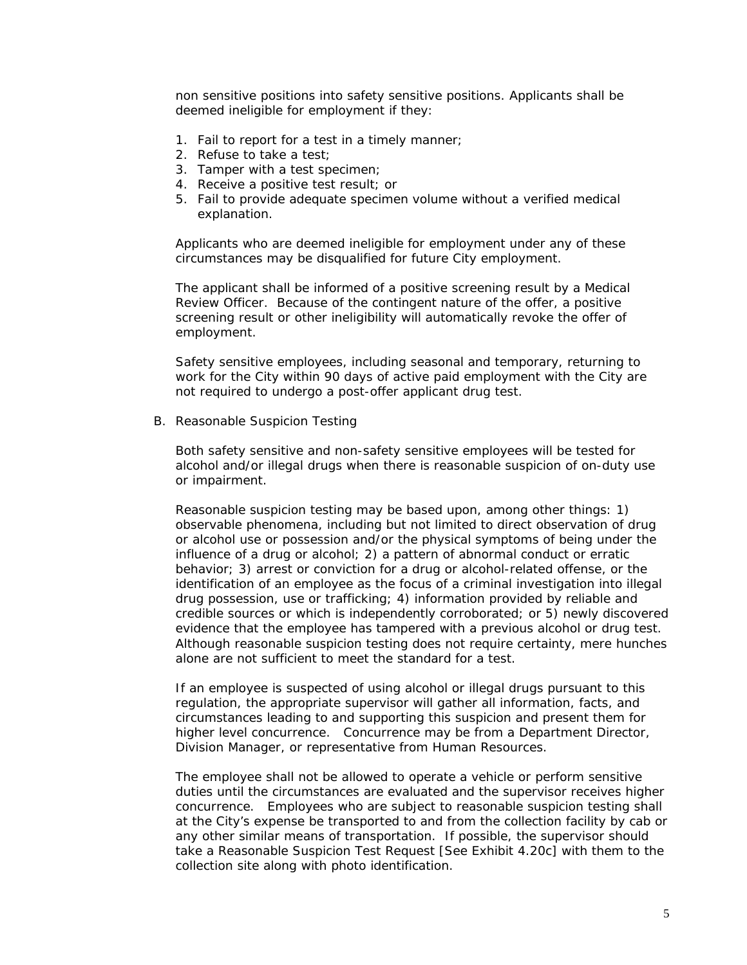non sensitive positions into safety sensitive positions. Applicants shall be deemed ineligible for employment if they:

- 1. Fail to report for a test in a timely manner;
- 2. Refuse to take a test;
- 3. Tamper with a test specimen;
- 4. Receive a positive test result; or
- 5. Fail to provide adequate specimen volume without a verified medical explanation.

Applicants who are deemed ineligible for employment under any of these circumstances may be disqualified for future City employment.

The applicant shall be informed of a positive screening result by a Medical Review Officer. Because of the contingent nature of the offer, a positive screening result or other ineligibility will automatically revoke the offer of employment.

Safety sensitive employees, including seasonal and temporary, returning to work for the City within 90 days of active paid employment with the City are not required to undergo a post-offer applicant drug test.

B. Reasonable Suspicion Testing

Both safety sensitive and non-safety sensitive employees will be tested for alcohol and/or illegal drugs when there is reasonable suspicion of on-duty use or impairment.

Reasonable suspicion testing may be based upon, among other things: 1) observable phenomena, including but not limited to direct observation of drug or alcohol use or possession and/or the physical symptoms of being under the influence of a drug or alcohol; 2) a pattern of abnormal conduct or erratic behavior; 3) arrest or conviction for a drug or alcohol-related offense, or the identification of an employee as the focus of a criminal investigation into illegal drug possession, use or trafficking; 4) information provided by reliable and credible sources or which is independently corroborated; or 5) newly discovered evidence that the employee has tampered with a previous alcohol or drug test. Although reasonable suspicion testing does not require certainty, mere hunches alone are not sufficient to meet the standard for a test.

If an employee is suspected of using alcohol or illegal drugs pursuant to this regulation, the appropriate supervisor will gather all information, facts, and circumstances leading to and supporting this suspicion and present them for higher level concurrence. Concurrence may be from a Department Director, Division Manager, or representative from Human Resources.

The employee shall not be allowed to operate a vehicle or perform sensitive duties until the circumstances are evaluated and the supervisor receives higher concurrence. Employees who are subject to reasonable suspicion testing shall at the City's expense be transported to and from the collection facility by cab or any other similar means of transportation. If possible, the supervisor should take a Reasonable Suspicion Test Request [See Exhibit 4.20c] with them to the collection site along with photo identification.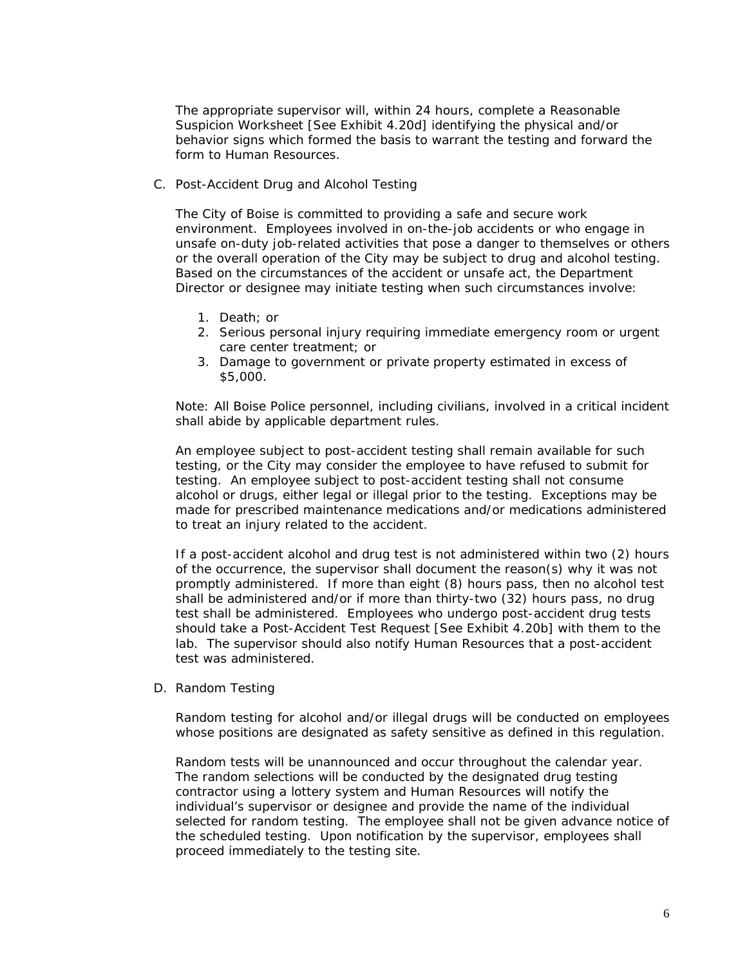The appropriate supervisor will, within 24 hours, complete a Reasonable Suspicion Worksheet [See Exhibit 4.20d] identifying the physical and/or behavior signs which formed the basis to warrant the testing and forward the form to Human Resources.

C. Post-Accident Drug and Alcohol Testing

The City of Boise is committed to providing a safe and secure work environment. Employees involved in on-the-job accidents or who engage in unsafe on-duty job-related activities that pose a danger to themselves or others or the overall operation of the City may be subject to drug and alcohol testing. Based on the circumstances of the accident or unsafe act, the Department Director or designee may initiate testing when such circumstances involve:

- 1. Death; or
- 2. Serious personal injury requiring immediate emergency room or urgent care center treatment; or
- 3. Damage to government or private property estimated in excess of \$5,000.

Note: All Boise Police personnel, including civilians, involved in a critical incident shall abide by applicable department rules.

An employee subject to post-accident testing shall remain available for such testing, or the City may consider the employee to have refused to submit for testing. An employee subject to post-accident testing shall not consume alcohol or drugs, either legal or illegal prior to the testing. Exceptions may be made for prescribed maintenance medications and/or medications administered to treat an injury related to the accident.

If a post-accident alcohol and drug test is not administered within two (2) hours of the occurrence, the supervisor shall document the reason(s) why it was not promptly administered. If more than eight (8) hours pass, then no alcohol test shall be administered and/or if more than thirty-two (32) hours pass, no drug test shall be administered. Employees who undergo post-accident drug tests should take a Post-Accident Test Request [See Exhibit 4.20b] with them to the lab. The supervisor should also notify Human Resources that a post-accident test was administered.

D. Random Testing

Random testing for alcohol and/or illegal drugs will be conducted on employees whose positions are designated as safety sensitive as defined in this regulation.

Random tests will be unannounced and occur throughout the calendar year. The random selections will be conducted by the designated drug testing contractor using a lottery system and Human Resources will notify the individual's supervisor or designee and provide the name of the individual selected for random testing. The employee shall not be given advance notice of the scheduled testing. Upon notification by the supervisor, employees shall proceed immediately to the testing site.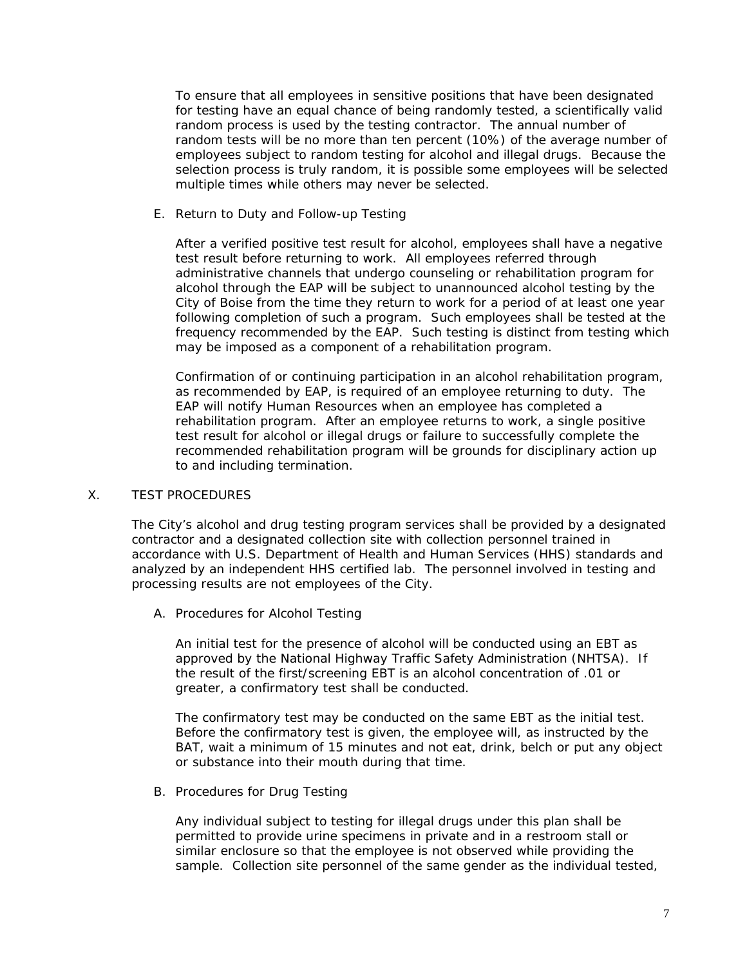To ensure that all employees in sensitive positions that have been designated for testing have an equal chance of being randomly tested, a scientifically valid random process is used by the testing contractor. The annual number of random tests will be no more than ten percent (10%) of the average number of employees subject to random testing for alcohol and illegal drugs. Because the selection process is truly random, it is possible some employees will be selected multiple times while others may never be selected.

E. Return to Duty and Follow-up Testing

After a verified positive test result for alcohol, employees shall have a negative test result before returning to work. All employees referred through administrative channels that undergo counseling or rehabilitation program for alcohol through the EAP will be subject to unannounced alcohol testing by the City of Boise from the time they return to work for a period of at least one year following completion of such a program. Such employees shall be tested at the frequency recommended by the EAP. Such testing is distinct from testing which may be imposed as a component of a rehabilitation program.

Confirmation of or continuing participation in an alcohol rehabilitation program, as recommended by EAP, is required of an employee returning to duty. The EAP will notify Human Resources when an employee has completed a rehabilitation program. After an employee returns to work, a single positive test result for alcohol or illegal drugs or failure to successfully complete the recommended rehabilitation program will be grounds for disciplinary action up to and including termination.

# X. TEST PROCEDURES

The City's alcohol and drug testing program services shall be provided by a designated contractor and a designated collection site with collection personnel trained in accordance with U.S. Department of Health and Human Services (HHS) standards and analyzed by an independent HHS certified lab. The personnel involved in testing and processing results are not employees of the City.

A. Procedures for Alcohol Testing

An initial test for the presence of alcohol will be conducted using an EBT as approved by the National Highway Traffic Safety Administration (NHTSA). If the result of the first/screening EBT is an alcohol concentration of .01 or greater, a confirmatory test shall be conducted.

The confirmatory test may be conducted on the same EBT as the initial test. Before the confirmatory test is given, the employee will, as instructed by the BAT, wait a minimum of 15 minutes and not eat, drink, belch or put any object or substance into their mouth during that time.

B. Procedures for Drug Testing

Any individual subject to testing for illegal drugs under this plan shall be permitted to provide urine specimens in private and in a restroom stall or similar enclosure so that the employee is not observed while providing the sample. Collection site personnel of the same gender as the individual tested,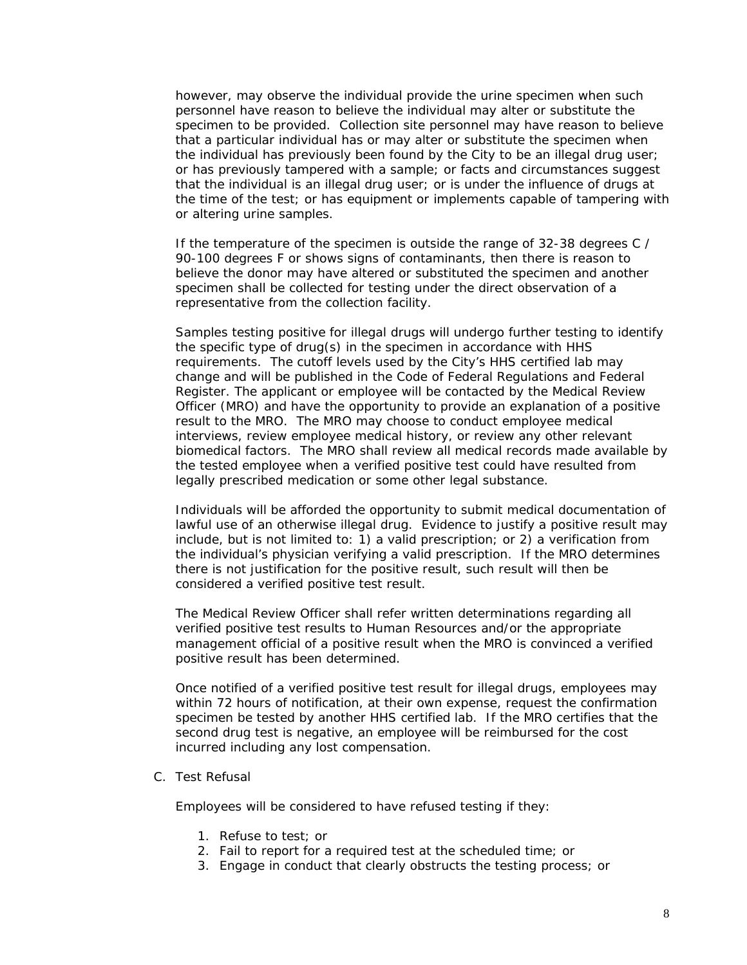however, may observe the individual provide the urine specimen when such personnel have reason to believe the individual may alter or substitute the specimen to be provided. Collection site personnel may have reason to believe that a particular individual has or may alter or substitute the specimen when the individual has previously been found by the City to be an illegal drug user; or has previously tampered with a sample; or facts and circumstances suggest that the individual is an illegal drug user; or is under the influence of drugs at the time of the test; or has equipment or implements capable of tampering with or altering urine samples.

If the temperature of the specimen is outside the range of 32-38 degrees C / 90-100 degrees F or shows signs of contaminants, then there is reason to believe the donor may have altered or substituted the specimen and another specimen shall be collected for testing under the direct observation of a representative from the collection facility.

Samples testing positive for illegal drugs will undergo further testing to identify the specific type of drug(s) in the specimen in accordance with HHS requirements. The cutoff levels used by the City's HHS certified lab may change and will be published in the Code of Federal Regulations and Federal Register. The applicant or employee will be contacted by the Medical Review Officer (MRO) and have the opportunity to provide an explanation of a positive result to the MRO. The MRO may choose to conduct employee medical interviews, review employee medical history, or review any other relevant biomedical factors. The MRO shall review all medical records made available by the tested employee when a verified positive test could have resulted from legally prescribed medication or some other legal substance.

Individuals will be afforded the opportunity to submit medical documentation of lawful use of an otherwise illegal drug. Evidence to justify a positive result may include, but is not limited to: 1) a valid prescription; or 2) a verification from the individual's physician verifying a valid prescription. If the MRO determines there is not justification for the positive result, such result will then be considered a verified positive test result.

The Medical Review Officer shall refer written determinations regarding all verified positive test results to Human Resources and/or the appropriate management official of a positive result when the MRO is convinced a verified positive result has been determined.

Once notified of a verified positive test result for illegal drugs, employees may within 72 hours of notification, at their own expense, request the confirmation specimen be tested by another HHS certified lab. If the MRO certifies that the second drug test is negative, an employee will be reimbursed for the cost incurred including any lost compensation.

C. Test Refusal

Employees will be considered to have refused testing if they:

- 1. Refuse to test; or
- 2. Fail to report for a required test at the scheduled time; or
- 3. Engage in conduct that clearly obstructs the testing process; or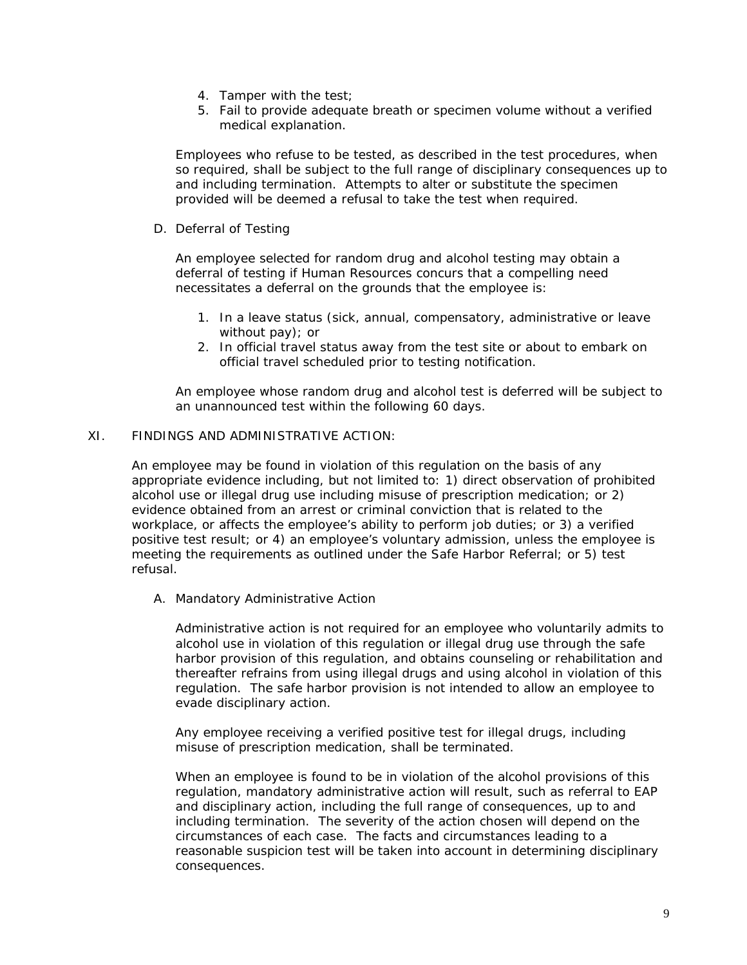- 4. Tamper with the test;
- 5. Fail to provide adequate breath or specimen volume without a verified medical explanation.

Employees who refuse to be tested, as described in the test procedures, when so required, shall be subject to the full range of disciplinary consequences up to and including termination. Attempts to alter or substitute the specimen provided will be deemed a refusal to take the test when required.

D. Deferral of Testing

An employee selected for random drug and alcohol testing may obtain a deferral of testing if Human Resources concurs that a compelling need necessitates a deferral on the grounds that the employee is:

- 1. In a leave status (sick, annual, compensatory, administrative or leave without pay); or
- 2. In official travel status away from the test site or about to embark on official travel scheduled prior to testing notification.

An employee whose random drug and alcohol test is deferred will be subject to an unannounced test within the following 60 days.

## XI. FINDINGS AND ADMINISTRATIVE ACTION:

An employee may be found in violation of this regulation on the basis of any appropriate evidence including, but not limited to: 1) direct observation of prohibited alcohol use or illegal drug use including misuse of prescription medication; or 2) evidence obtained from an arrest or criminal conviction that is related to the workplace, or affects the employee's ability to perform job duties; or 3) a verified positive test result; or 4) an employee's voluntary admission, unless the employee is meeting the requirements as outlined under the Safe Harbor Referral; or 5) test refusal.

A. Mandatory Administrative Action

Administrative action is not required for an employee who voluntarily admits to alcohol use in violation of this regulation or illegal drug use through the safe harbor provision of this regulation, and obtains counseling or rehabilitation and thereafter refrains from using illegal drugs and using alcohol in violation of this regulation. The safe harbor provision is not intended to allow an employee to evade disciplinary action.

Any employee receiving a verified positive test for illegal drugs, including misuse of prescription medication, shall be terminated.

When an employee is found to be in violation of the alcohol provisions of this regulation, mandatory administrative action will result, such as referral to EAP and disciplinary action, including the full range of consequences, up to and including termination. The severity of the action chosen will depend on the circumstances of each case. The facts and circumstances leading to a reasonable suspicion test will be taken into account in determining disciplinary consequences.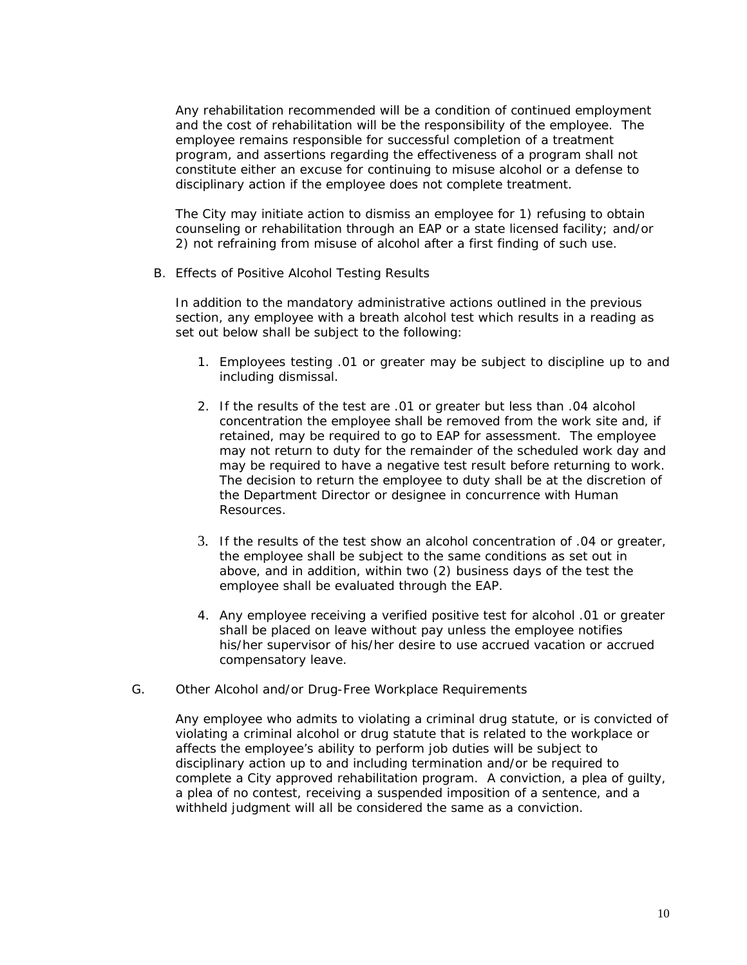Any rehabilitation recommended will be a condition of continued employment and the cost of rehabilitation will be the responsibility of the employee. The employee remains responsible for successful completion of a treatment program, and assertions regarding the effectiveness of a program shall not constitute either an excuse for continuing to misuse alcohol or a defense to disciplinary action if the employee does not complete treatment.

The City may initiate action to dismiss an employee for 1) refusing to obtain counseling or rehabilitation through an EAP or a state licensed facility; and/or 2) not refraining from misuse of alcohol after a first finding of such use.

B. Effects of Positive Alcohol Testing Results

In addition to the mandatory administrative actions outlined in the previous section, any employee with a breath alcohol test which results in a reading as set out below shall be subject to the following:

- 1. Employees testing .01 or greater may be subject to discipline up to and including dismissal.
- 2. If the results of the test are .01 or greater but less than .04 alcohol concentration the employee shall be removed from the work site and, if retained, may be required to go to EAP for assessment. The employee may not return to duty for the remainder of the scheduled work day and may be required to have a negative test result before returning to work. The decision to return the employee to duty shall be at the discretion of the Department Director or designee in concurrence with Human Resources.
- 3. If the results of the test show an alcohol concentration of .04 or greater, the employee shall be subject to the same conditions as set out in above, and in addition, within two (2) business days of the test the employee shall be evaluated through the EAP.
- 4. Any employee receiving a verified positive test for alcohol .01 or greater shall be placed on leave without pay unless the employee notifies his/her supervisor of his/her desire to use accrued vacation or accrued compensatory leave.
- G. Other Alcohol and/or Drug-Free Workplace Requirements

Any employee who admits to violating a criminal drug statute, or is convicted of violating a criminal alcohol or drug statute that is related to the workplace or affects the employee's ability to perform job duties will be subject to disciplinary action up to and including termination and/or be required to complete a City approved rehabilitation program. A conviction, a plea of guilty, a plea of no contest, receiving a suspended imposition of a sentence, and a withheld judgment will all be considered the same as a conviction.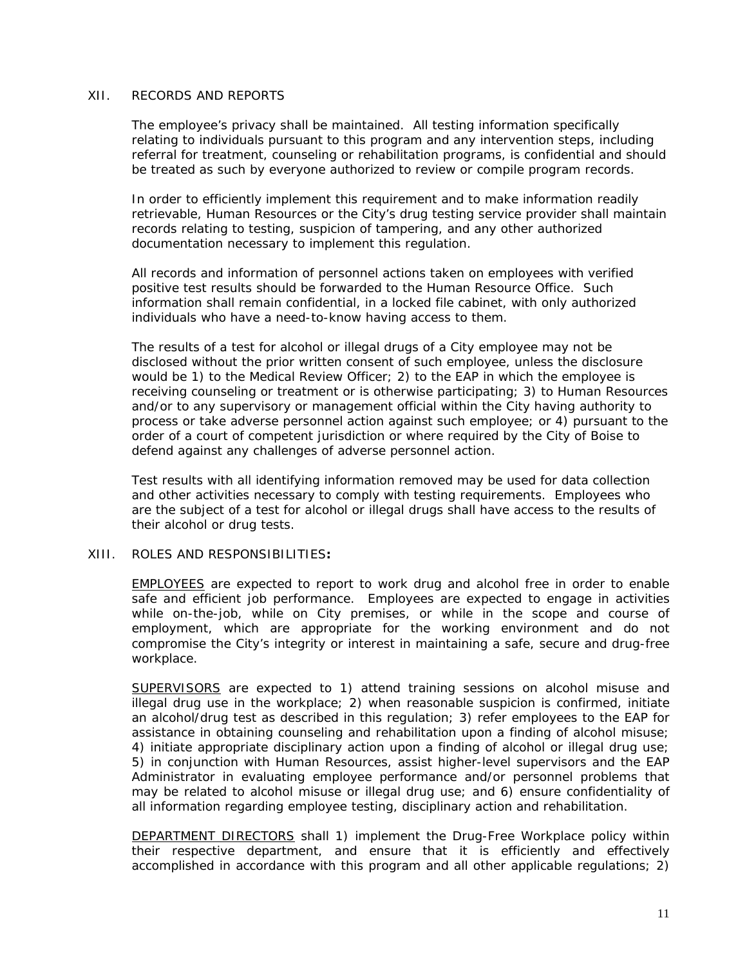### XII. RECORDS AND REPORTS

The employee's privacy shall be maintained. All testing information specifically relating to individuals pursuant to this program and any intervention steps, including referral for treatment, counseling or rehabilitation programs, is confidential and should be treated as such by everyone authorized to review or compile program records.

In order to efficiently implement this requirement and to make information readily retrievable, Human Resources or the City's drug testing service provider shall maintain records relating to testing, suspicion of tampering, and any other authorized documentation necessary to implement this regulation.

All records and information of personnel actions taken on employees with verified positive test results should be forwarded to the Human Resource Office. Such information shall remain confidential, in a locked file cabinet, with only authorized individuals who have a need-to-know having access to them.

The results of a test for alcohol or illegal drugs of a City employee may not be disclosed without the prior written consent of such employee, unless the disclosure would be 1) to the Medical Review Officer; 2) to the EAP in which the employee is receiving counseling or treatment or is otherwise participating; 3) to Human Resources and/or to any supervisory or management official within the City having authority to process or take adverse personnel action against such employee; or 4) pursuant to the order of a court of competent jurisdiction or where required by the City of Boise to defend against any challenges of adverse personnel action.

Test results with all identifying information removed may be used for data collection and other activities necessary to comply with testing requirements. Employees who are the subject of a test for alcohol or illegal drugs shall have access to the results of their alcohol or drug tests.

#### XIII. ROLES AND RESPONSIBILITIES**:**

EMPLOYEES are expected to report to work drug and alcohol free in order to enable safe and efficient job performance. Employees are expected to engage in activities while on-the-job, while on City premises, or while in the scope and course of employment, which are appropriate for the working environment and do not compromise the City's integrity or interest in maintaining a safe, secure and drug-free workplace.

SUPERVISORS are expected to 1) attend training sessions on alcohol misuse and illegal drug use in the workplace; 2) when reasonable suspicion is confirmed, initiate an alcohol/drug test as described in this regulation; 3) refer employees to the EAP for assistance in obtaining counseling and rehabilitation upon a finding of alcohol misuse; 4) initiate appropriate disciplinary action upon a finding of alcohol or illegal drug use; 5) in conjunction with Human Resources, assist higher-level supervisors and the EAP Administrator in evaluating employee performance and/or personnel problems that may be related to alcohol misuse or illegal drug use; and 6) ensure confidentiality of all information regarding employee testing, disciplinary action and rehabilitation.

DEPARTMENT DIRECTORS shall 1) implement the Drug-Free Workplace policy within their respective department, and ensure that it is efficiently and effectively accomplished in accordance with this program and all other applicable regulations; 2)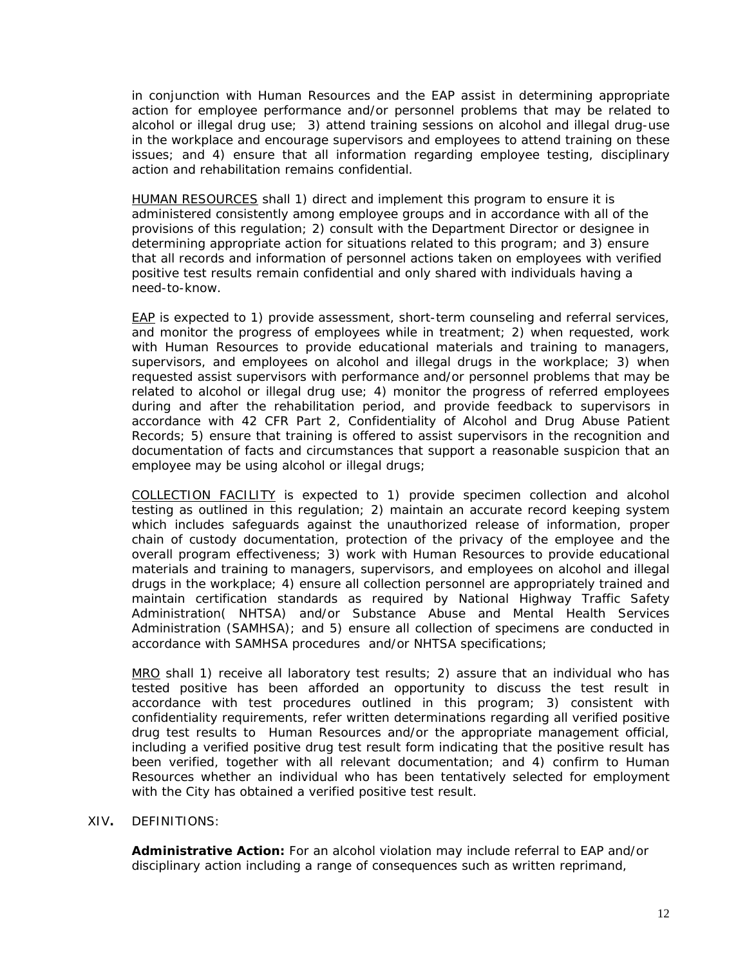in conjunction with Human Resources and the EAP assist in determining appropriate action for employee performance and/or personnel problems that may be related to alcohol or illegal drug use; 3) attend training sessions on alcohol and illegal drug-use in the workplace and encourage supervisors and employees to attend training on these issues; and 4) ensure that all information regarding employee testing, disciplinary action and rehabilitation remains confidential.

HUMAN RESOURCES shall 1) direct and implement this program to ensure it is administered consistently among employee groups and in accordance with all of the provisions of this regulation; 2) consult with the Department Director or designee in determining appropriate action for situations related to this program; and 3) ensure that all records and information of personnel actions taken on employees with verified positive test results remain confidential and only shared with individuals having a need-to-know.

EAP is expected to 1) provide assessment, short-term counseling and referral services, and monitor the progress of employees while in treatment; 2) when requested, work with Human Resources to provide educational materials and training to managers, supervisors, and employees on alcohol and illegal drugs in the workplace; 3) when requested assist supervisors with performance and/or personnel problems that may be related to alcohol or illegal drug use; 4) monitor the progress of referred employees during and after the rehabilitation period, and provide feedback to supervisors in accordance with 42 CFR Part 2, Confidentiality of Alcohol and Drug Abuse Patient Records; 5) ensure that training is offered to assist supervisors in the recognition and documentation of facts and circumstances that support a reasonable suspicion that an employee may be using alcohol or illegal drugs;

COLLECTION FACILITY is expected to 1) provide specimen collection and alcohol testing as outlined in this regulation; 2) maintain an accurate record keeping system which includes safeguards against the unauthorized release of information, proper chain of custody documentation, protection of the privacy of the employee and the overall program effectiveness; 3) work with Human Resources to provide educational materials and training to managers, supervisors, and employees on alcohol and illegal drugs in the workplace; 4) ensure all collection personnel are appropriately trained and maintain certification standards as required by National Highway Traffic Safety Administration( NHTSA) and/or Substance Abuse and Mental Health Services Administration (SAMHSA); and 5) ensure all collection of specimens are conducted in accordance with SAMHSA procedures and/or NHTSA specifications;

MRO shall 1) receive all laboratory test results; 2) assure that an individual who has tested positive has been afforded an opportunity to discuss the test result in accordance with test procedures outlined in this program; 3) consistent with confidentiality requirements, refer written determinations regarding all verified positive drug test results to Human Resources and/or the appropriate management official, including a verified positive drug test result form indicating that the positive result has been verified, together with all relevant documentation; and 4) confirm to Human Resources whether an individual who has been tentatively selected for employment with the City has obtained a verified positive test result.

#### XIV**.** DEFINITIONS:

**Administrative Action:** For an alcohol violation may include referral to EAP and/or disciplinary action including a range of consequences such as written reprimand,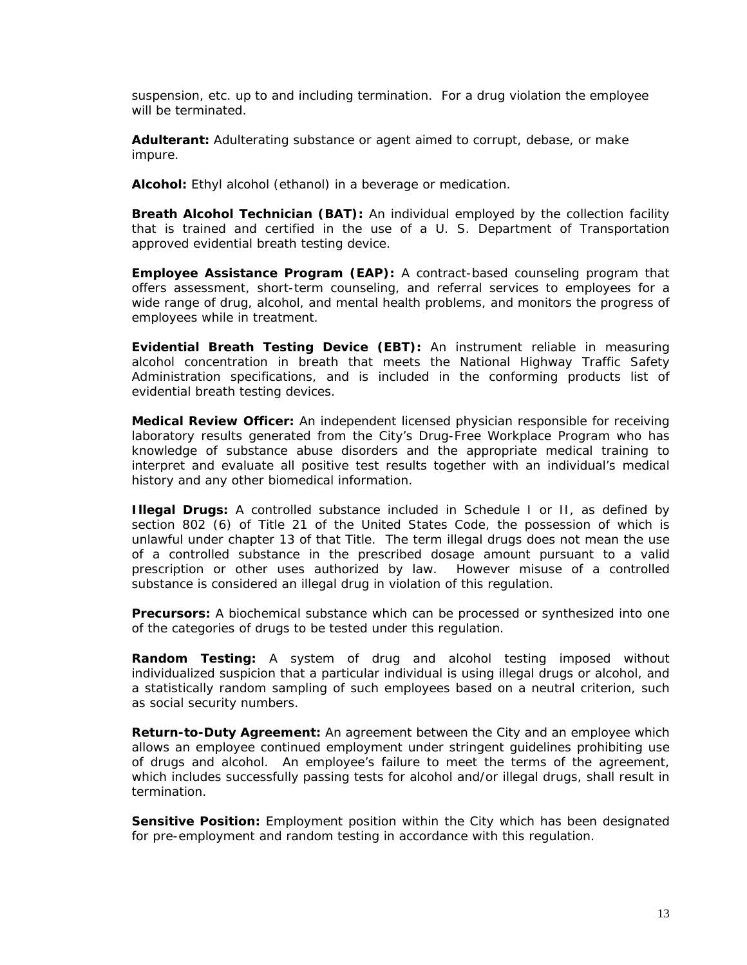suspension, etc. up to and including termination. For a drug violation the employee will be terminated.

**Adulterant:** Adulterating substance or agent aimed to corrupt, debase, or make impure.

**Alcohol:** Ethyl alcohol (ethanol) in a beverage or medication.

**Breath Alcohol Technician (BAT):** An individual employed by the collection facility that is trained and certified in the use of a U. S. Department of Transportation approved evidential breath testing device.

**Employee Assistance Program (EAP):** A contract-based counseling program that offers assessment, short-term counseling, and referral services to employees for a wide range of drug, alcohol, and mental health problems, and monitors the progress of employees while in treatment.

**Evidential Breath Testing Device (EBT):** An instrument reliable in measuring alcohol concentration in breath that meets the National Highway Traffic Safety Administration specifications, and is included in the conforming products list of evidential breath testing devices.

**Medical Review Officer:** An independent licensed physician responsible for receiving laboratory results generated from the City's Drug-Free Workplace Program who has knowledge of substance abuse disorders and the appropriate medical training to interpret and evaluate all positive test results together with an individual's medical history and any other biomedical information.

**Illegal Drugs:** A controlled substance included in Schedule I or II, as defined by section 802 (6) of Title 21 of the United States Code, the possession of which is unlawful under chapter 13 of that Title. The term illegal drugs does not mean the use of a controlled substance in the prescribed dosage amount pursuant to a valid prescription or other uses authorized by law. However misuse of a controlled substance is considered an illegal drug in violation of this regulation.

**Precursors:** A biochemical substance which can be processed or synthesized into one of the categories of drugs to be tested under this regulation.

**Random Testing:** A system of drug and alcohol testing imposed without individualized suspicion that a particular individual is using illegal drugs or alcohol, and a statistically random sampling of such employees based on a neutral criterion, such as social security numbers.

**Return-to-Duty Agreement:** An agreement between the City and an employee which allows an employee continued employment under stringent guidelines prohibiting use of drugs and alcohol. An employee's failure to meet the terms of the agreement, which includes successfully passing tests for alcohol and/or illegal drugs, shall result in termination.

**Sensitive Position:** Employment position within the City which has been designated for pre-employment and random testing in accordance with this regulation.